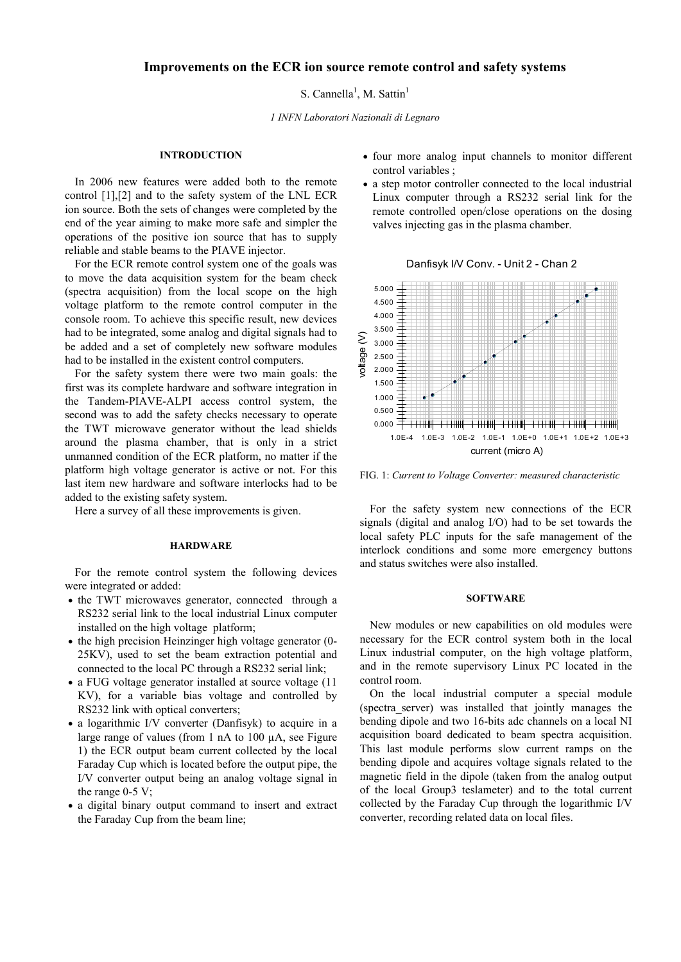# **Improvements on the ECR ion source remote control and safety systems**

S. Cannella<sup>1</sup>, M. Sattin<sup>1</sup>

*1 INFN Laboratori Nazionali di Legnaro* 

# **INTRODUCTION**

In 2006 new features were added both to the remote control [1],[2] and to the safety system of the LNL ECR ion source. Both the sets of changes were completed by the end of the year aiming to make more safe and simpler the operations of the positive ion source that has to supply reliable and stable beams to the PIAVE injector.

For the ECR remote control system one of the goals was to move the data acquisition system for the beam check (spectra acquisition) from the local scope on the high voltage platform to the remote control computer in the console room. To achieve this specific result, new devices had to be integrated, some analog and digital signals had to be added and a set of completely new software modules had to be installed in the existent control computers.

For the safety system there were two main goals: the first was its complete hardware and software integration in the Tandem-PIAVE-ALPI access control system, the second was to add the safety checks necessary to operate the TWT microwave generator without the lead shields around the plasma chamber, that is only in a strict unmanned condition of the ECR platform, no matter if the platform high voltage generator is active or not. For this last item new hardware and software interlocks had to be added to the existing safety system.

Here a survey of all these improvements is given.

## **HARDWARE**

For the remote control system the following devices were integrated or added:

- the TWT microwaves generator, connected through a RS232 serial link to the local industrial Linux computer installed on the high voltage platform;
- the high precision Heinzinger high voltage generator (0-25KV), used to set the beam extraction potential and connected to the local PC through a RS232 serial link;
- a FUG voltage generator installed at source voltage (11) KV), for a variable bias voltage and controlled by RS232 link with optical converters;
- a logarithmic I/V converter (Danfisyk) to acquire in a large range of values (from 1 nA to 100 µA, see Figure 1) the ECR output beam current collected by the local Faraday Cup which is located before the output pipe, the I/V converter output being an analog voltage signal in the range  $0-5$  V;
- a digital binary output command to insert and extract the Faraday Cup from the beam line;
- four more analog input channels to monitor different control variables ;
- a step motor controller connected to the local industrial Linux computer through a RS232 serial link for the remote controlled open/close operations on the dosing valves injecting gas in the plasma chamber.





FIG. 1: *Current to Voltage Converter: measured characteristic* 

For the safety system new connections of the ECR signals (digital and analog I/O) had to be set towards the local safety PLC inputs for the safe management of the interlock conditions and some more emergency buttons and status switches were also installed.

## **SOFTWARE**

New modules or new capabilities on old modules were necessary for the ECR control system both in the local Linux industrial computer, on the high voltage platform, and in the remote supervisory Linux PC located in the control room.

On the local industrial computer a special module (spectra\_server) was installed that jointly manages the bending dipole and two 16-bits adc channels on a local NI acquisition board dedicated to beam spectra acquisition. This last module performs slow current ramps on the bending dipole and acquires voltage signals related to the magnetic field in the dipole (taken from the analog output of the local Group3 teslameter) and to the total current collected by the Faraday Cup through the logarithmic I/V converter, recording related data on local files.